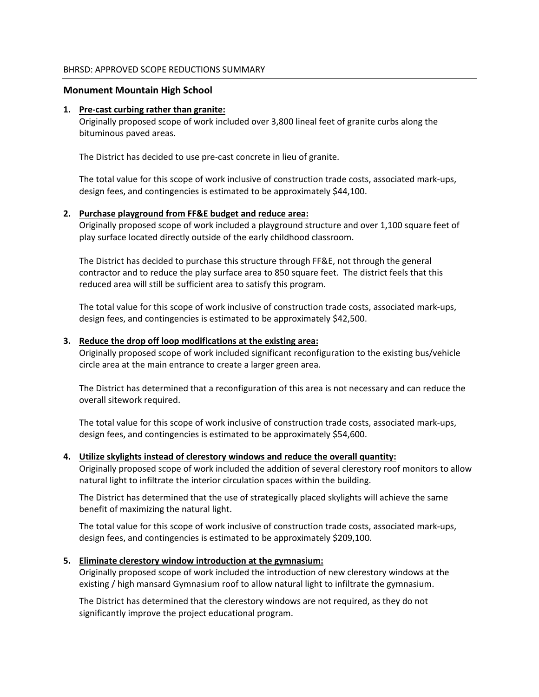### **Monument Mountain High School**

### **1. Pre‐cast curbing rather than granite:**

Originally proposed scope of work included over 3,800 lineal feet of granite curbs along the bituminous paved areas.

The District has decided to use pre‐cast concrete in lieu of granite.

The total value for this scope of work inclusive of construction trade costs, associated mark‐ups, design fees, and contingencies is estimated to be approximately \$44,100.

# **2. Purchase playground from FF&E budget and reduce area:**

Originally proposed scope of work included a playground structure and over 1,100 square feet of play surface located directly outside of the early childhood classroom.

The District has decided to purchase this structure through FF&E, not through the general contractor and to reduce the play surface area to 850 square feet. The district feels that this reduced area will still be sufficient area to satisfy this program.

The total value for this scope of work inclusive of construction trade costs, associated mark‐ups, design fees, and contingencies is estimated to be approximately \$42,500.

### **3. Reduce the drop off loop modifications at the existing area:**

Originally proposed scope of work included significant reconfiguration to the existing bus/vehicle circle area at the main entrance to create a larger green area.

The District has determined that a reconfiguration of this area is not necessary and can reduce the overall sitework required.

The total value for this scope of work inclusive of construction trade costs, associated mark‐ups, design fees, and contingencies is estimated to be approximately \$54,600.

# **4. Utilize skylights instead of clerestory windows and reduce the overall quantity:**

Originally proposed scope of work included the addition of several clerestory roof monitors to allow natural light to infiltrate the interior circulation spaces within the building.

The District has determined that the use of strategically placed skylights will achieve the same benefit of maximizing the natural light.

The total value for this scope of work inclusive of construction trade costs, associated mark‐ups, design fees, and contingencies is estimated to be approximately \$209,100.

#### **5. Eliminate clerestory window introduction at the gymnasium:**

Originally proposed scope of work included the introduction of new clerestory windows at the existing / high mansard Gymnasium roof to allow natural light to infiltrate the gymnasium.

The District has determined that the clerestory windows are not required, as they do not significantly improve the project educational program.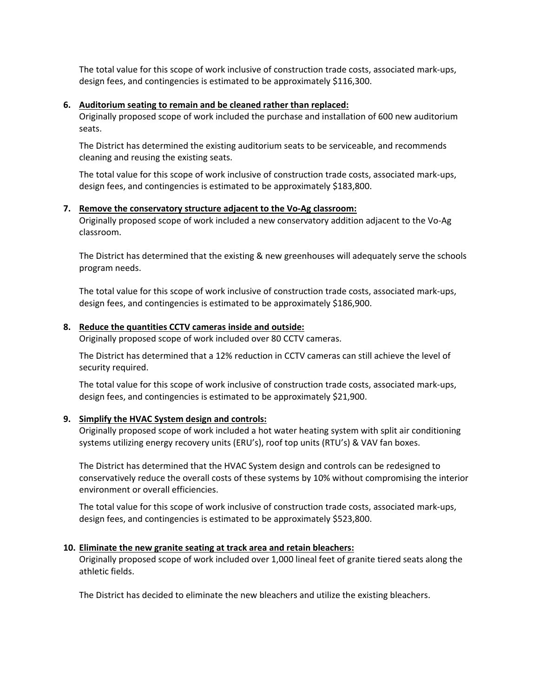The total value for this scope of work inclusive of construction trade costs, associated mark‐ups, design fees, and contingencies is estimated to be approximately \$116,300.

### **6. Auditorium seating to remain and be cleaned rather than replaced:**

Originally proposed scope of work included the purchase and installation of 600 new auditorium seats.

The District has determined the existing auditorium seats to be serviceable, and recommends cleaning and reusing the existing seats.

The total value for this scope of work inclusive of construction trade costs, associated mark‐ups, design fees, and contingencies is estimated to be approximately \$183,800.

### **7. Remove the conservatory structure adjacent to the Vo‐Ag classroom:**

Originally proposed scope of work included a new conservatory addition adjacent to the Vo‐Ag classroom.

The District has determined that the existing & new greenhouses will adequately serve the schools program needs.

The total value for this scope of work inclusive of construction trade costs, associated mark‐ups, design fees, and contingencies is estimated to be approximately \$186,900.

### **8. Reduce the quantities CCTV cameras inside and outside:**

Originally proposed scope of work included over 80 CCTV cameras.

The District has determined that a 12% reduction in CCTV cameras can still achieve the level of security required.

The total value for this scope of work inclusive of construction trade costs, associated mark‐ups, design fees, and contingencies is estimated to be approximately \$21,900.

# **9. Simplify the HVAC System design and controls:**

Originally proposed scope of work included a hot water heating system with split air conditioning systems utilizing energy recovery units (ERU's), roof top units (RTU's) & VAV fan boxes.

The District has determined that the HVAC System design and controls can be redesigned to conservatively reduce the overall costs of these systems by 10% without compromising the interior environment or overall efficiencies.

The total value for this scope of work inclusive of construction trade costs, associated mark‐ups, design fees, and contingencies is estimated to be approximately \$523,800.

# **10. Eliminate the new granite seating at track area and retain bleachers:**

Originally proposed scope of work included over 1,000 lineal feet of granite tiered seats along the athletic fields.

The District has decided to eliminate the new bleachers and utilize the existing bleachers.